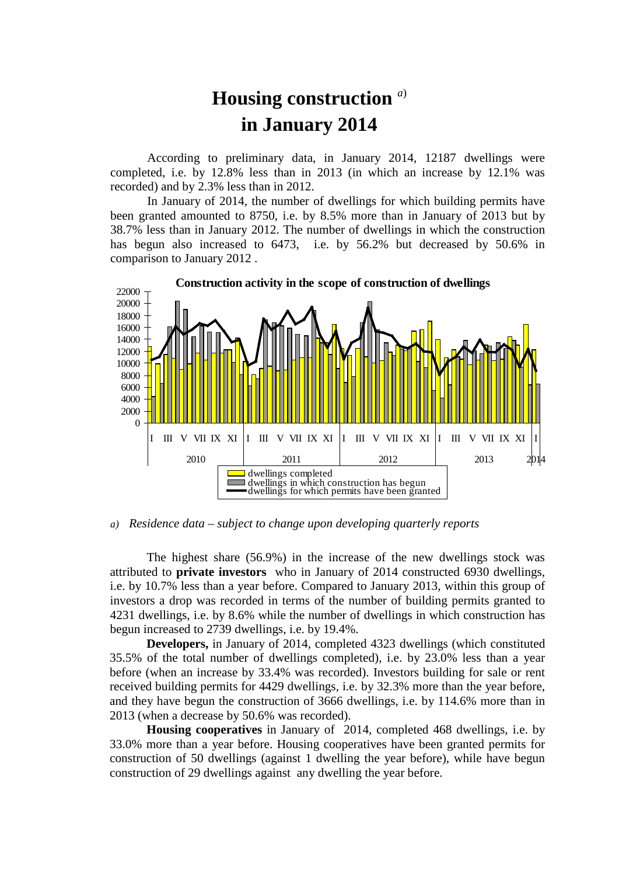## **Housing construction** *<sup>a</sup>*) **in January 2014**

According to preliminary data, in January 2014, 12187 dwellings were completed, i.e. by 12.8% less than in 2013 (in which an increase by 12.1% was recorded) and by 2.3% less than in 2012.

In January of 2014, the number of dwellings for which building permits have been granted amounted to 8750, i.e. by 8.5% more than in January of 2013 but by 38.7% less than in January 2012. The number of dwellings in which the construction has begun also increased to 6473, i.e. by 56.2% but decreased by 50.6% in comparison to January 2012 .



*a) Residence data – subject to change upon developing quarterly reports*

The highest share (56.9%) in the increase of the new dwellings stock was attributed to **private investors** who in January of 2014 constructed 6930 dwellings, i.e. by 10.7% less than a year before. Compared to January 2013, within this group of investors a drop was recorded in terms of the number of building permits granted to 4231 dwellings, i.e. by 8.6% while the number of dwellings in which construction has begun increased to 2739 dwellings, i.e. by 19.4%.

**Developers,** in January of 2014, completed 4323 dwellings (which constituted 35.5% of the total number of dwellings completed), i.e. by 23.0% less than a year before (when an increase by 33.4% was recorded). Investors building for sale or rent received building permits for 4429 dwellings, i.e. by 32.3% more than the year before, and they have begun the construction of 3666 dwellings, i.e. by 114.6% more than in 2013 (when a decrease by 50.6% was recorded).

**Housing cooperatives** in January of 2014, completed 468 dwellings, i.e. by 33.0% more than a year before. Housing cooperatives have been granted permits for construction of 50 dwellings (against 1 dwelling the year before), while have begun construction of 29 dwellings against any dwelling the year before.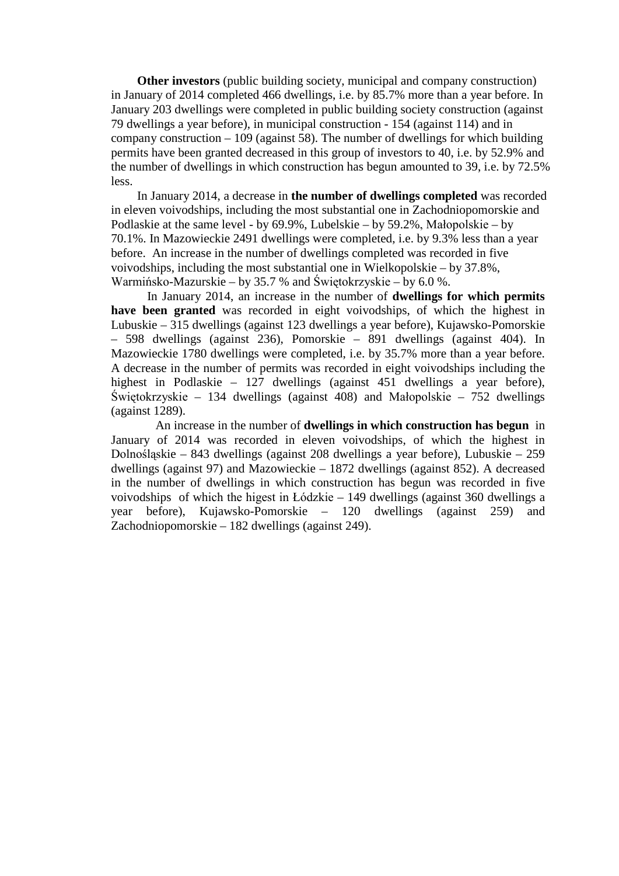**Other investors** (public building society, municipal and company construction) in January of 2014 completed 466 dwellings, i.e. by 85.7% more than a year before. In January 203 dwellings were completed in public building society construction (against 79 dwellings a year before), in municipal construction - 154 (against 114) and in company construction – 109 (against 58). The number of dwellings for which building permits have been granted decreased in this group of investors to 40, i.e. by 52.9% and the number of dwellings in which construction has begun amounted to 39, i.e. by 72.5% less.

In January 2014, a decrease in **the number of dwellings completed** was recorded in eleven voivodships, including the most substantial one in Zachodniopomorskie and Podlaskie at the same level - by 69.9%, Lubelskie – by 59.2%, Małopolskie – by 70.1%. In Mazowieckie 2491 dwellings were completed, i.e. by 9.3% less than a year before. An increase in the number of dwellings completed was recorded in five voivodships, including the most substantial one in Wielkopolskie – by 37.8%, Warmińsko-Mazurskie – by 35.7 % and Świętokrzyskie – by 6.0 %.

In January 2014, an increase in the number of **dwellings for which permits have been granted** was recorded in eight voivodships, of which the highest in Lubuskie – 315 dwellings (against 123 dwellings a year before), Kujawsko-Pomorskie – 598 dwellings (against 236), Pomorskie – 891 dwellings (against 404). In Mazowieckie 1780 dwellings were completed, i.e. by 35.7% more than a year before. A decrease in the number of permits was recorded in eight voivodships including the highest in Podlaskie – 127 dwellings (against 451 dwellings a year before). Świętokrzyskie – 134 dwellings (against 408) and Małopolskie – 752 dwellings (against 1289).

An increase in the number of **dwellings in which construction has begun** in January of 2014 was recorded in eleven voivodships, of which the highest in Dolnośląskie – 843 dwellings (against 208 dwellings a year before), Lubuskie – 259 dwellings (against 97) and Mazowieckie – 1872 dwellings (against 852). A decreased in the number of dwellings in which construction has begun was recorded in five voivodships of which the higest in Łódzkie – 149 dwellings (against 360 dwellings a year before), Kujawsko-Pomorskie – 120 dwellings (against 259) and Zachodniopomorskie – 182 dwellings (against 249).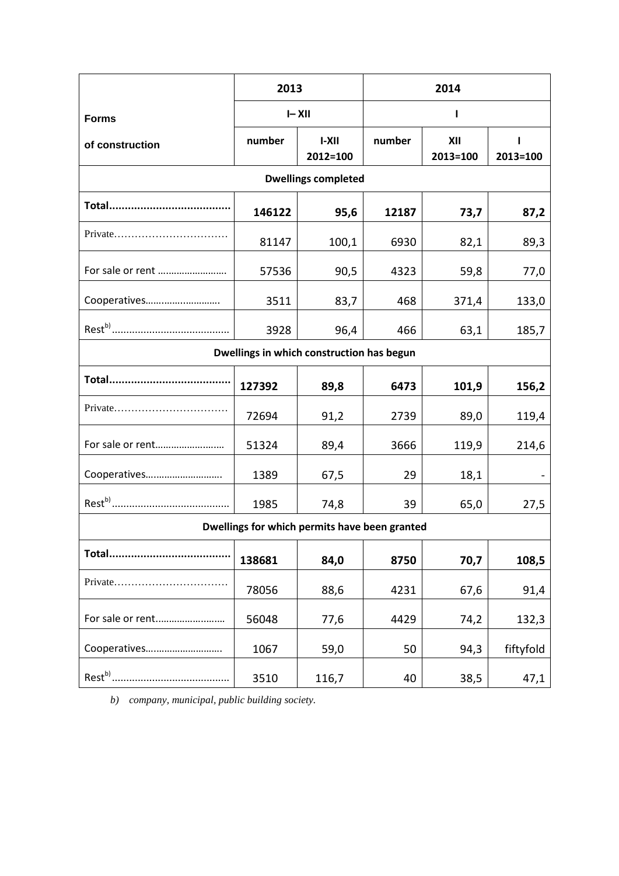|                                               | 2013      |                     | 2014   |                 |               |
|-----------------------------------------------|-----------|---------------------|--------|-----------------|---------------|
| <b>Forms</b>                                  | $I - XII$ |                     |        |                 |               |
| of construction                               | number    | $I-XII$<br>2012=100 | number | XII<br>2013=100 | 1<br>2013=100 |
| <b>Dwellings completed</b>                    |           |                     |        |                 |               |
| Total                                         | 146122    | 95,6                | 12187  | 73,7            | 87,2          |
|                                               | 81147     | 100,1               | 6930   | 82,1            | 89,3          |
| For sale or rent                              | 57536     | 90,5                | 4323   | 59,8            | 77,0          |
| Cooperatives                                  | 3511      | 83,7                | 468    | 371,4           | 133,0         |
|                                               | 3928      | 96,4                | 466    | 63,1            | 185,7         |
| Dwellings in which construction has begun     |           |                     |        |                 |               |
| Total                                         | 127392    | 89,8                | 6473   | 101,9           | 156,2         |
| Private                                       | 72694     | 91,2                | 2739   | 89,0            | 119,4         |
| For sale or rent                              | 51324     | 89,4                | 3666   | 119,9           | 214,6         |
| Cooperatives                                  | 1389      | 67,5                | 29     | 18,1            |               |
|                                               | 1985      | 74,8                | 39     | 65,0            | 27,5          |
| Dwellings for which permits have been granted |           |                     |        |                 |               |
|                                               | 138681    | 84,0                | 8750   | 70,7            | 108,5         |
| Private                                       | 78056     | 88,6                | 4231   | 67,6            | 91,4          |
| For sale or rent                              | 56048     | 77,6                | 4429   | 74,2            | 132,3         |
| Cooperatives                                  | 1067      | 59,0                | 50     | 94,3            | fiftyfold     |
|                                               | 3510      | 116,7               | 40     | 38,5            | 47,1          |

*b) company, municipal, public building society.*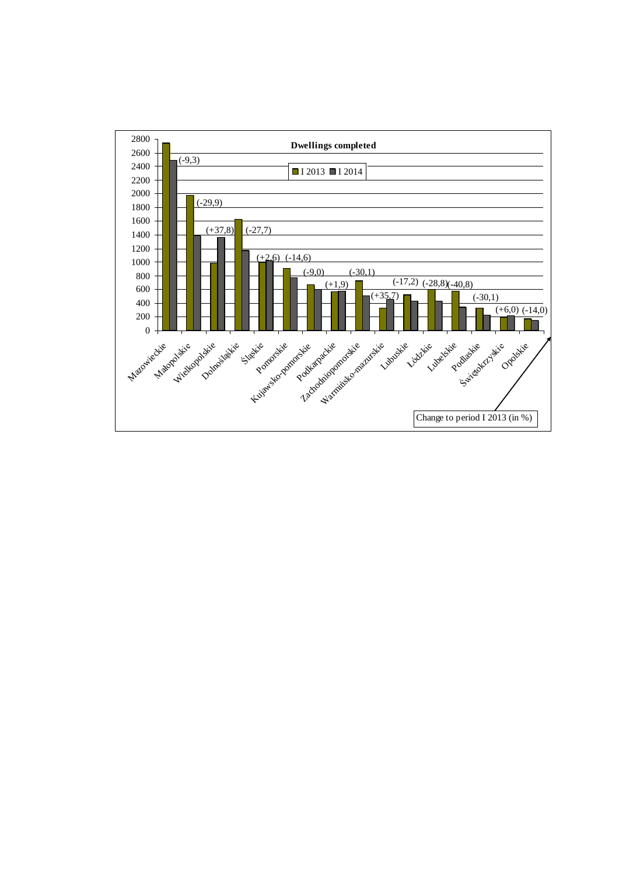